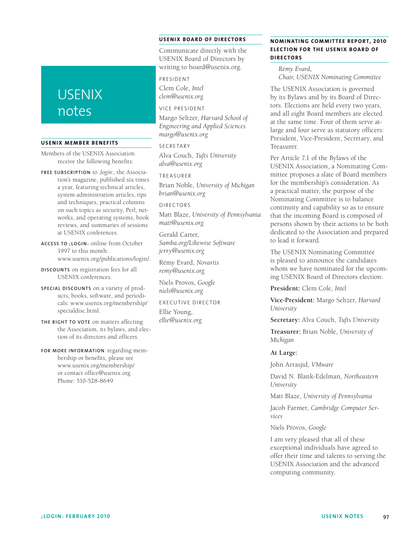# **USENIX** notes

#### **USENIX Member Benefits**

Members of the USENIX Association receive the following benefits:

**Free subscrip tion** to *;login:*, the Association's magazine, published six times a year, featuring technical articles, system administration articles, tips and techniques, practical columns on such topics as security, Perl, networks, and operating systems, book reviews, and summaries of sessions at USENIX conferences.

**Access to ;login :** online from October 1997 to this month: www.usenix.org/publications/login/.

**Discounts** on registration fees for all USENIX conferences.

**Special discounts** on a variety of products, books, software, and periodicals: www.usenix.org/membership/ specialdisc.html.

**The right to vote** on matters affecting the Association, its bylaws, and election of its directors and officers.

**For more information** regarding membership or benefits, please see www.usenix.org/membership/ or contact office@usenix.org. Phone: 510-528-8649

## **USENIX Board of Director s**

Communicate directly with the USENIX Board of Directors by writing to board@usenix.org.

President

Clem Cole, *Intel clem@usenix.org*

#### Vice President

Margo Seltzer, *Harvard School of Engineering and Applied Sciences margo@usenix.org*

#### SECRETARY

Alva Couch, *Tufts University alva@usenix.org*

Treasurer

Brian Noble, *University of Michigan brian@usenix.org*

#### Directors

Matt Blaze, *University of Pennsylvania matt@usenix.org*

Gerald Carter, *Samba.org/Likewise Software jerry@usenix.org*

Rémy Evard, *Novartis remy@usenix.org*

Niels Provos, *Google niels@usenix.org*

Executive Director Ellie Young, *ellie@usenix.org*

## **NOMINATING COMMITTEE REPORT, 2010 ELECTION FOR THE USENIX BOARD OF Director s**

*Rémy Evard, Chair, USENIX Nominating Committee*

The USENIX Association is governed by its Bylaws and by its Board of Directors. Elections are held every two years, and all eight Board members are elected at the same time. Four of them serve atlarge and four serve as statutory officers: President, Vice-President, Secretary, and Treasurer.

Per Article 7.1 of the Bylaws of the USENIX Association, a Nominating Committee proposes a slate of Board members for the membership's consideration. As a practical matter, the purpose of the Nominating Committee is to balance continuity and capability so as to ensure that the incoming Board is composed of persons shown by their actions to be both dedicated to the Association and prepared to lead it forward.

The USENIX Nominating Committee is pleased to announce the candidates whom we have nominated for the upcoming USENIX Board of Directors election:

**President:** Clem Cole, *Intel*

**Vice-President:** Margo Seltzer, *Harvard University*

**Secretary:** Alva Couch, *Tufts University*

**Treasurer:** Brian Noble, *University of Michigan*

#### **At Large:**

John Arrasjid, *VMware*

David N. Blank-Edelman, *Northeastern University*

Matt Blaze, *University of Pennsylvania*

Jacob Farmer, *Cambridge Computer Services*

Niels Provos, *Google*

I am very pleased that all of these exceptional individuals have agreed to offer their time and talents to serving the USENIX Association and the advanced computing community.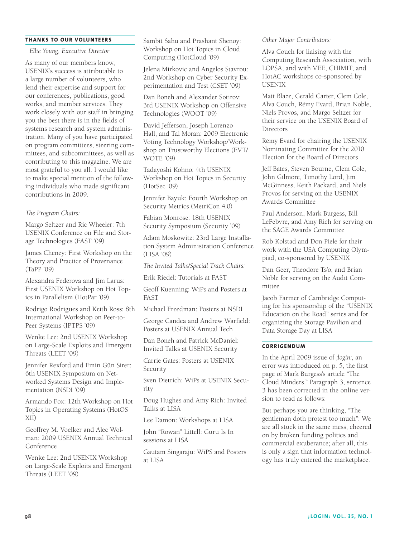#### **Thanks to Our Volu nteers**

*Ellie Young, Executive Director*

As many of our members know, USENIX's success is attributable to a large number of volunteers, who lend their expertise and support for our conferences, publications, good works, and member services. They work closely with our staff in bringing you the best there is in the fields of systems research and system administration. Many of you have participated on program committees, steering committees, and subcommittees, as well as contributing to this magazine. We are most grateful to you all. I would like to make special mention of the following individuals who made significant contributions in 2009.

#### *The Program Chairs:*

Margo Seltzer and Ric Wheeler: 7th USENIX Conference on File and Storage Technologies (FAST '09)

James Cheney: First Workshop on the Theory and Practice of Provenance (TaPP '09)

Alexandra Federova and Jim Larus: First USENIX Workshop on Hot Topics in Parallelism (HotPar '09)

Rodrigo Rodrigues and Keith Ross: 8th International Workshop on Peer-to-Peer Systems (IPTPS '09)

Wenke Lee: 2nd USENIX Workshop on Large-Scale Exploits and Emergent Threats (LEET '09)

Jennifer Rexford and Emin Gün Sirer: 6th USENIX Symposium on Networked Systems Design and Implementation (NSDI '09)

Armando Fox: 12th Workshop on Hot Topics in Operating Systems (HotOS XII)

Geoffrey M. Voelker and Alec Wolman: 2009 USENIX Annual Technical Conference

Wenke Lee: 2nd USENIX Workshop on Large-Scale Exploits and Emergent Threats (LEET '09)

Sambit Sahu and Prashant Shenoy: Workshop on Hot Topics in Cloud Computing (HotCloud '09)

Jelena Mirkovic and Angelos Stavrou: 2nd Workshop on Cyber Security Experimentation and Test (CSET '09)

Dan Boneh and Alexander Sotirov: 3rd USENIX Workshop on Offensive Technologies (WOOT '09)

David Jefferson, Joseph Lorenzo Hall, and Tal Moran: 2009 Electronic Voting Technology Workshop/Workshop on Trustworthy Elections (EVT/ WOTE '09)

Tadayoshi Kohno: 4th USENIX Workshop on Hot Topics in Security (HotSec '09)

Jennifer Bayuk: Fourth Workshop on Security Metrics (MetriCon 4.0)

Fabian Monrose: 18th USENIX Security Symposium (Security '09)

Adam Moskowitz: 23rd Large Installation System Administration Conference (LISA '09)

*The Invited Talks/Special Track Chairs:*

Erik Riedel: Tutorials at FAST

Geoff Kuenning: WiPs and Posters at FAST

Michael Freedman: Posters at NSDI

George Candea and Andrew Warfield: Posters at USENIX Annual Tech

Dan Boneh and Patrick McDaniel: Invited Talks at USENIX Security

Carrie Gates: Posters at USENIX Security

Sven Dietrich: WiPs at USENIX Security

Doug Hughes and Amy Rich: Invited Talks at LISA

Lee Damon: Workshops at LISA

John "Rowan" Littell: Guru Is In sessions at LISA

Gautam Singaraju: WiPS and Posters at LISA

*Other Major Contributors:*

Alva Couch for liaising with the Computing Research Association, with LOPSA, and with VEE, CHIMIT, and HotAC workshops co-sponsored by USENIX

Matt Blaze, Gerald Carter, Clem Cole, Alva Couch, Rémy Evard, Brian Noble, Niels Provos, and Margo Seltzer for their service on the USENIX Board of **Directors** 

Rémy Evard for chairing the USENIX Nominating Committee for the 2010 Election for the Board of Directors

Jeff Bates, Steven Bourne, Clem Cole, John Gilmore, Timothy Lord, Jim McGinness, Keith Packard, and Niels Provos for serving on the USENIX Awards Committee

Paul Anderson, Mark Burgess, Bill LeFebvre, and Amy Rich for serving on the SAGE Awards Committee

Rob Kolstad and Don Piele for their work with the USA Computing Olympiad, co-sponsored by USENIX

Dan Geer, Theodore Ts'o, and Brian Noble for serving on the Audit Committee

Jacob Farmer of Cambridge Computing for his sponsorship of the "USENIX Education on the Road" series and for organizing the Storage Pavilion and Data Storage Day at LISA

# **Corrigendum**

In the April 2009 issue of *;login:,* an error was introduced on p. 5, the first page of Mark Burgess's article "The Cloud Minders." Paragraph 3, sentence 3 has been corrected in the online version to read as follows:

But perhaps you are thinking, "The gentleman doth protest too much": We are all stuck in the same mess, cheered on by broken funding politics and commercial exuberance; after all, this is only a sign that information technology has truly entered the marketplace.